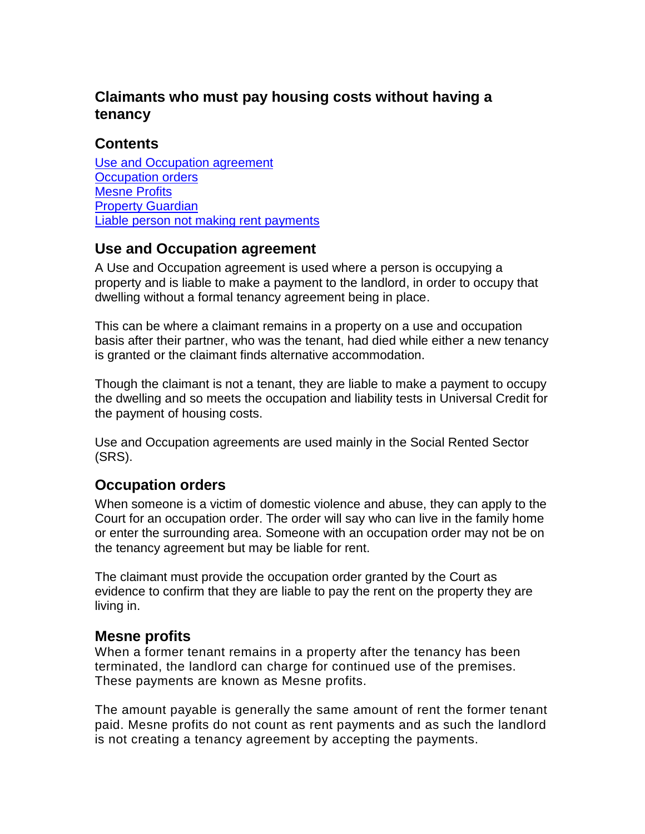# **Claimants who must pay housing costs without having a tenancy**

### **Contents**

[Use and Occupation agreement](#page-0-0) [Occupation orders](#page-0-1) [Mesne Profits](#page-0-2) [Property Guardian](#page-1-0) [Liable person not making rent payments](#page-1-1)

### <span id="page-0-0"></span>**Use and Occupation agreement**

A Use and Occupation agreement is used where a person is occupying a property and is liable to make a payment to the landlord, in order to occupy that dwelling without a formal tenancy agreement being in place.

This can be where a claimant remains in a property on a use and occupation basis after their partner, who was the tenant, had died while either a new tenancy is granted or the claimant finds alternative accommodation.

Though the claimant is not a tenant, they are liable to make a payment to occupy the dwelling and so meets the occupation and liability tests in Universal Credit for the payment of housing costs.

Use and Occupation agreements are used mainly in the Social Rented Sector (SRS).

#### <span id="page-0-1"></span>**Occupation orders**

When someone is a victim of domestic violence and abuse, they can apply to the Court for an occupation order. The order will say who can live in the family home or enter the surrounding area. Someone with an occupation order may not be on the tenancy agreement but may be liable for rent.

The claimant must provide the occupation order granted by the Court as evidence to confirm that they are liable to pay the rent on the property they are living in.

#### <span id="page-0-2"></span>**Mesne profits**

When a former tenant remains in a property after the tenancy has been terminated, the landlord can charge for continued use of the premises. These payments are known as Mesne profits.

The amount payable is generally the same amount of rent the former tenant paid. Mesne profits do not count as rent payments and as such the landlord is not creating a tenancy agreement by accepting the payments.